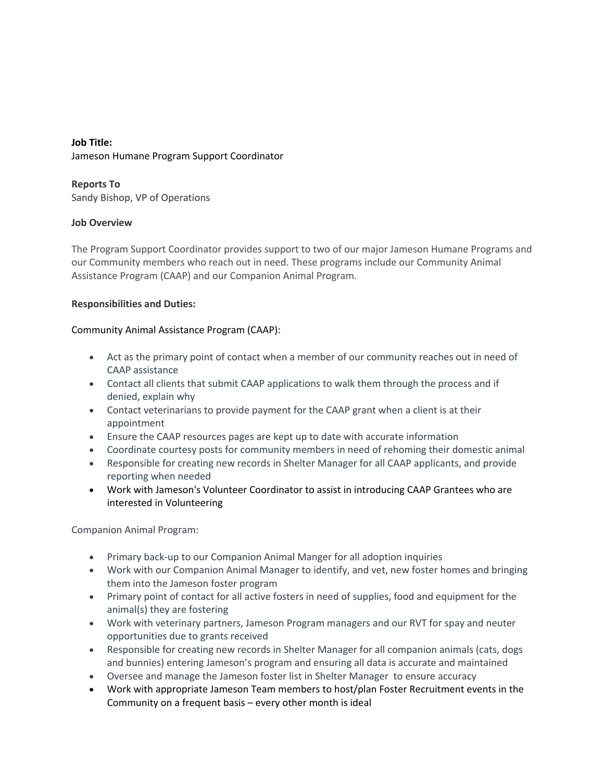# **Job Title:** Jameson Humane Program Support Coordinator

**Reports To** Sandy Bishop, VP of Operations

## **Job Overview**

The Program Support Coordinator provides support to two of our major Jameson Humane Programs and our Community members who reach out in need. These programs include our Community Animal Assistance Program (CAAP) and our Companion Animal Program.

## **Responsibilities and Duties:**

## Community Animal Assistance Program (CAAP):

- Act as the primary point of contact when a member of our community reaches out in need of CAAP assistance
- Contact all clients that submit CAAP applications to walk them through the process and if denied, explain why
- Contact veterinarians to provide payment for the CAAP grant when a client is at their appointment
- Ensure the CAAP resources pages are kept up to date with accurate information
- Coordinate courtesy posts for community members in need of rehoming their domestic animal
- Responsible for creating new records in Shelter Manager for all CAAP applicants, and provide reporting when needed
- Work with Jameson's Volunteer Coordinator to assist in introducing CAAP Grantees who are interested in Volunteering

Companion Animal Program:

- Primary back-up to our Companion Animal Manger for all adoption inquiries
- Work with our Companion Animal Manager to identify, and vet, new foster homes and bringing them into the Jameson foster program
- Primary point of contact for all active fosters in need of supplies, food and equipment for the animal(s) they are fostering
- Work with veterinary partners, Jameson Program managers and our RVT for spay and neuter opportunities due to grants received
- Responsible for creating new records in Shelter Manager for all companion animals (cats, dogs and bunnies) entering Jameson's program and ensuring all data is accurate and maintained
- Oversee and manage the Jameson foster list in Shelter Manager to ensure accuracy
- Work with appropriate Jameson Team members to host/plan Foster Recruitment events in the Community on a frequent basis – every other month is ideal